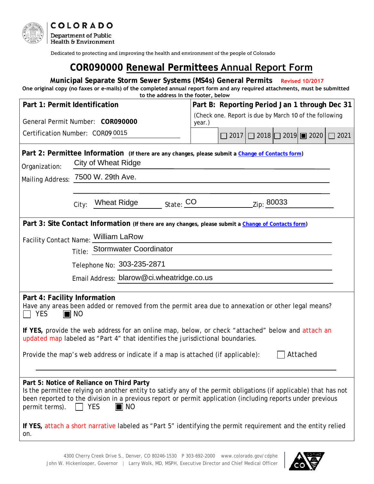

Dedicated to protecting and improving the health and environment of the people of Colorado

# **COR090000 Renewal Permittees Annual Report Form**

#### **Municipal Separate Storm Sewer Systems (MS4s) General Permits Revised 10/2017 One original copy (no faxes or e-mails) of the completed annual report form and any required attachments, must be submitted to the address in the footer, below**

|                                                                                                                                                                                                                                                                                                                                  |                                                                                                               | co che addiess in che rooter, below                                                                  |                                                        |  |            |                                       |      |  |
|----------------------------------------------------------------------------------------------------------------------------------------------------------------------------------------------------------------------------------------------------------------------------------------------------------------------------------|---------------------------------------------------------------------------------------------------------------|------------------------------------------------------------------------------------------------------|--------------------------------------------------------|--|------------|---------------------------------------|------|--|
| Part 1: Permit Identification                                                                                                                                                                                                                                                                                                    |                                                                                                               | Part B: Reporting Period Jan 1 through Dec 31                                                        |                                                        |  |            |                                       |      |  |
| General Permit Number: COR090000                                                                                                                                                                                                                                                                                                 |                                                                                                               | year.)                                                                                               | (Check one. Report is due by March 10 of the following |  |            |                                       |      |  |
| Certification Number: COR09 0015                                                                                                                                                                                                                                                                                                 |                                                                                                               |                                                                                                      | 2017                                                   |  |            | $2018$   $2019$   $\blacksquare$ 2020 | 2021 |  |
| Part 2: Permittee Information (If there are any changes, please submit a Change of Contacts form)<br>City of Wheat Ridge<br>Organization:<br>Mailing Address: 7500 W. 29th Ave.                                                                                                                                                  |                                                                                                               |                                                                                                      |                                                        |  |            |                                       |      |  |
|                                                                                                                                                                                                                                                                                                                                  |                                                                                                               |                                                                                                      |                                                        |  |            |                                       |      |  |
|                                                                                                                                                                                                                                                                                                                                  |                                                                                                               |                                                                                                      |                                                        |  |            |                                       |      |  |
|                                                                                                                                                                                                                                                                                                                                  | City:                                                                                                         | $\frac{1}{\sqrt{1-\frac{1}{c}}}$ State: $\frac{1}{c}$ O<br>Wheat Ridge                               |                                                        |  | Zip: 80033 |                                       |      |  |
|                                                                                                                                                                                                                                                                                                                                  |                                                                                                               | Part 3: Site Contact Information (If there are any changes, please submit a Change of Contacts form) |                                                        |  |            |                                       |      |  |
|                                                                                                                                                                                                                                                                                                                                  |                                                                                                               | Facility Contact Name: William LaRow                                                                 |                                                        |  |            |                                       |      |  |
|                                                                                                                                                                                                                                                                                                                                  |                                                                                                               | Title: Stormwater Coordinator                                                                        |                                                        |  |            |                                       |      |  |
|                                                                                                                                                                                                                                                                                                                                  |                                                                                                               | Telephone No: 303-235-2871                                                                           |                                                        |  |            |                                       |      |  |
| Email Address: blarow@ci.wheatridge.co.us                                                                                                                                                                                                                                                                                        |                                                                                                               |                                                                                                      |                                                        |  |            |                                       |      |  |
|                                                                                                                                                                                                                                                                                                                                  |                                                                                                               |                                                                                                      |                                                        |  |            |                                       |      |  |
| Part 4: Facility Information<br>Have any areas been added or removed from the permit area due to annexation or other legal means?<br><b>YES</b><br>$\blacksquare$ No                                                                                                                                                             |                                                                                                               |                                                                                                      |                                                        |  |            |                                       |      |  |
| If YES, provide the web address for an online map, below, or check "attached" below and attach an<br>updated map labeled as "Part 4" that identifies the jurisdictional boundaries.                                                                                                                                              |                                                                                                               |                                                                                                      |                                                        |  |            |                                       |      |  |
| Attached<br>Provide the map's web address or indicate if a map is attached (if applicable):                                                                                                                                                                                                                                      |                                                                                                               |                                                                                                      |                                                        |  |            |                                       |      |  |
|                                                                                                                                                                                                                                                                                                                                  |                                                                                                               |                                                                                                      |                                                        |  |            |                                       |      |  |
| Part 5: Notice of Reliance on Third Party<br>Is the permittee relying on another entity to satisfy any of the permit obligations (if applicable) that has not<br>been reported to the division in a previous report or permit application (including reports under previous<br>permit terms).<br>$\Box$ YES<br>$\blacksquare$ No |                                                                                                               |                                                                                                      |                                                        |  |            |                                       |      |  |
| on.                                                                                                                                                                                                                                                                                                                              | If YES, attach a short narrative labeled as "Part 5" identifying the permit requirement and the entity relied |                                                                                                      |                                                        |  |            |                                       |      |  |

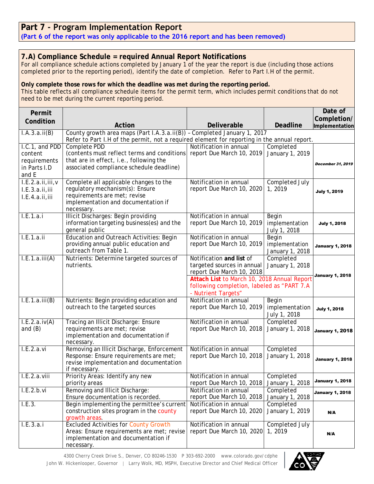## **Part 7 - Program Implementation Report**

**(Part 6 of the report was only applicable to the 2016 report and has been removed)**

### **7.A) Compliance Schedule = required Annual Report Notifications**

For all compliance schedule actions completed by January 1 of the year the report is due (including those actions completed prior to the reporting period), identify the date of completion. Refer to Part I.H of the permit.

### **Only complete those rows for which the deadline was met during the reporting period.**

This table reflects all compliance schedule items for the permit term, which includes permit conditions that do not need to be met during the current reporting period.

| Permit                                               |                                                                                                                                                                |                                                                                                                                                                                                         |                                            | Date of<br>Completion/ |  |
|------------------------------------------------------|----------------------------------------------------------------------------------------------------------------------------------------------------------------|---------------------------------------------------------------------------------------------------------------------------------------------------------------------------------------------------------|--------------------------------------------|------------------------|--|
| Condition                                            | Action                                                                                                                                                         | Deliverable                                                                                                                                                                                             | <b>Deadline</b>                            | Implementation         |  |
| I.A.3.a.ii(B)                                        | County growth area maps (Part I.A.3.a.ii(B)) - Completed January 1, 2017                                                                                       |                                                                                                                                                                                                         |                                            |                        |  |
| I.C.1, and PDD                                       | Refer to Part I.H of the permit, not a required element for reporting in the annual report.<br>Notification in annual                                          |                                                                                                                                                                                                         |                                            |                        |  |
| content<br>requirements<br>in Parts I.D<br>and E     | Complete PDD<br>(contents must reflect terms and conditions<br>that are in effect, i.e., following the<br>associated compliance schedule deadline)             | report Due March 10, 2019                                                                                                                                                                               | Completed<br>January 1, 2019               | December 31, 2019      |  |
| I.E.2.a.ii,iii,v<br>I.E.3.a.ii,iii<br>I.E.4.a.ii,iii | Complete all applicable changes to the<br>regulatory mechanism(s): Ensure<br>requirements are met; revise<br>implementation and documentation if<br>necessary. | Notification in annual<br>report Due March 10, 2020                                                                                                                                                     | Completed July<br>1, 2019                  | <b>July 1, 2019</b>    |  |
| I.E.1.a.i                                            | <b>Illicit Discharges: Begin providing</b><br>information targeting business(es) and the<br>general public                                                     | Notification in annual<br>report Due March 10, 2019                                                                                                                                                     | Begin<br>implementation<br>July 1, 2018    | <b>July 1, 2018</b>    |  |
| I.E.1.a.ii                                           | <b>Education and Outreach Activities: Begin</b><br>providing annual public education and<br>outreach from Table 1.                                             | Notification in annual<br>report Due March 10, 2019                                                                                                                                                     | Begin<br>implementation<br>January 1, 2018 | <b>January 1, 2018</b> |  |
| I.E.1.a.iii(A)                                       | Nutrients: Determine targeted sources of<br>nutrients.                                                                                                         | Notification and list of<br>targeted sources in annual<br>report Due March 10, 2018<br>Attach List to March 10, 2018 Annual Report<br>following completion, labeled as "PART 7.A<br>- Nutrient Targets" | Completed<br>January 1, 2018               | <b>January 1, 2018</b> |  |
| I.E.1.a.iii(B)                                       | Nutrients: Begin providing education and<br>outreach to the targeted sources                                                                                   | Notification in annual<br>report Due March 10, 2019                                                                                                                                                     | Begin<br>implementation<br>July 1, 2018    | <b>July 1, 2018</b>    |  |
| I.E.2.a.iv(A)<br>and $(B)$                           | Tracing an Illicit Discharge: Ensure<br>requirements are met; revise<br>implementation and documentation if<br>necessary.                                      | Notification in annual<br>report Due March 10, 2018                                                                                                                                                     | Completed<br>January 1, 2018               | <b>January 1, 2018</b> |  |
| I.E.2.a.vi                                           | Removing an Illicit Discharge, Enforcement<br>Response: Ensure requirements are met;<br>revise implementation and documentation<br>if necessary.               | Notification in annual<br>report Due March 10, 2018                                                                                                                                                     | Completed<br>January 1, 2018               | <b>January 1, 2018</b> |  |
| L.E.2.a.viii                                         | Priority Areas: Identify any new<br>priority areas                                                                                                             | Notification in annual<br>report Due March 10, 2018                                                                                                                                                     | Completed<br>January 1, 2018               | January 1, 2018        |  |
| I.E.2.b.vi                                           | Removing and Illicit Discharge:<br>Ensure documentation is recorded.                                                                                           | Notification in annual<br>report Due March 10, 2018                                                                                                                                                     | Completed<br>January 1, 2018               | <b>January 1, 2018</b> |  |
| I.E.3.                                               | Begin implementing the permittee's current<br>construction sites program in the county<br>growth areas.                                                        | Notification in annual<br>report Due March 10, 2020                                                                                                                                                     | Completed<br>January 1, 2019               | N/A                    |  |
| I.E.3.a.i                                            | <b>Excluded Activities for County Growth</b><br>Areas: Ensure requirements are met; revise<br>implementation and documentation if<br>necessary.                | Notification in annual<br>report Due March 10, 2020                                                                                                                                                     | Completed July<br>1, 2019                  | N/A                    |  |

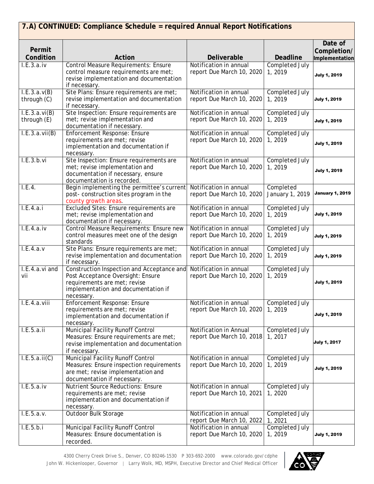| Permit<br>Condition          | Action                                                                                                                                                               | Deliverable                                         | <b>Deadline</b>                 | Date of<br>Completion/<br>Implementation |
|------------------------------|----------------------------------------------------------------------------------------------------------------------------------------------------------------------|-----------------------------------------------------|---------------------------------|------------------------------------------|
| I.E.3.a.iv                   | <b>Control Measure Requirements: Ensure</b><br>control measure requirements are met;<br>revise implementation and documentation<br>if necessary.                     | Notification in annual<br>report Due March 10, 2020 | <b>Completed July</b><br>1,2019 | <b>July 1, 2019</b>                      |
| I.E.3.a.v(B)<br>through (C)  | Site Plans: Ensure requirements are met;<br>revise implementation and documentation<br>if necessary.                                                                 | Notification in annual<br>report Due March 10, 2020 | Completed July<br>1,2019        | <b>July 1, 2019</b>                      |
| I.E.3.a.vi(B)<br>through (E) | Site Inspection: Ensure requirements are<br>met; revise implementation and<br>documentation if necessary.                                                            | Notification in annual<br>report Due March 10, 2020 | Completed July<br>1,2019        | <b>July 1, 2019</b>                      |
| I.E.3.a.vii(B)               | <b>Enforcement Response: Ensure</b><br>requirements are met; revise<br>implementation and documentation if<br>necessary.                                             | Notification in annual<br>report Due March 10, 2020 | Completed July<br>1, 2019       | <b>July 1, 2019</b>                      |
| I.E.3.b.vi                   | Site Inspection: Ensure requirements are<br>met; revise implementation and<br>documentation if necessary, ensure<br>documentation is recorded.                       | Notification in annual<br>report Due March 10, 2020 | Completed July<br>1,2019        | <b>July 1, 2019</b>                      |
| I.E.4.                       | Begin implementing the permittee's current<br>post- construction sites program in the<br>county growth areas.                                                        | Notification in annual<br>report Due March 10, 2020 | Completed<br>January 1, 2019    | <b>January 1, 2019</b>                   |
| I.E.4.a.i                    | Excluded Sites: Ensure requirements are<br>met; revise implementation and<br>documentation if necessary.                                                             | Notification in annual<br>report Due March 10, 2020 | Completed July<br>1,2019        | <b>July 1, 2019</b>                      |
| L.E.4.a.iv                   | Control Measure Requirements: Ensure new<br>control measures meet one of the design<br>standards                                                                     | Notification in annual<br>report Due March 10, 2020 | Completed July<br>1, 2019       | <b>July 1, 2019</b>                      |
| L.E.4.a.v                    | Site Plans: Ensure requirements are met;<br>revise implementation and documentation<br>if necessary.                                                                 | Notification in annual<br>report Due March 10, 2020 | Completed July<br>1,2019        | <b>July 1, 2019</b>                      |
| I.E.4.a.vi and<br>vii        | Construction Inspection and Acceptance and<br>Post Acceptance Oversight: Ensure<br>requirements are met; revise<br>implementation and documentation if<br>necessary. | Notification in annual<br>report Due March 10, 2020 | Completed July<br>1, 2019       | <b>July 1, 2019</b>                      |
| I.E.4.a.viii                 | <b>Enforcement Response: Ensure</b><br>requirements are met; revise<br>implementation and documentation if<br>necessary.                                             | Notification in annual<br>report Due March 10, 2020 | Completed July<br>1, 2019       | <b>July 1, 2019</b>                      |
| I.E.5.a.ii                   | Municipal Facility Runoff Control<br>Measures: Ensure requirements are met;<br>revise implementation and documentation<br>if necessary.                              | Notification in Annual<br>report Due March 10, 2018 | Completed July<br>1, 2017       | <b>July 1, 2017</b>                      |
| I.E.5.a.ii(C)                | Municipal Facility Runoff Control<br>Measures: Ensure inspection requirements<br>are met; revise implementation and<br>documentation if necessary.                   | Notification in annual<br>report Due March 10, 2020 | Completed July<br>1, 2019       | <b>July 1, 2019</b>                      |
| I.E.5.a.iv                   | <b>Nutrient Source Reductions: Ensure</b><br>requirements are met; revise<br>implementation and documentation if<br>necessary.                                       | Notification in annual<br>report Due March 10, 2021 | Completed July<br>1, 2020       |                                          |
| I.E.5.a.v.                   | Outdoor Bulk Storage                                                                                                                                                 | Notification in annual<br>report Due March 10, 2022 | Completed July<br>1, 2021       |                                          |
| I.E.5.b.i                    | Municipal Facility Runoff Control<br>Measures: Ensure documentation is<br>recorded.                                                                                  | Notification in annual<br>report Due March 10, 2020 | Completed July<br>1, 2019       | <b>July 1, 2019</b>                      |

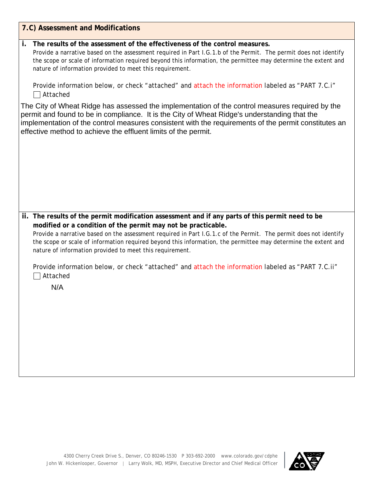| 7.C) Assessment and Modifications                                                                                                                                                                                                                                                                                                                                                   |
|-------------------------------------------------------------------------------------------------------------------------------------------------------------------------------------------------------------------------------------------------------------------------------------------------------------------------------------------------------------------------------------|
| The results of the assessment of the effectiveness of the control measures.<br>İ.<br>Provide a narrative based on the assessment required in Part I.G.1.b of the Permit. The permit does not identify<br>the scope or scale of information required beyond this information, the permittee may determine the extent and<br>nature of information provided to meet this requirement. |
| Provide information below, or check "attached" and attach the information labeled as "PART 7.C.i"<br>Attached                                                                                                                                                                                                                                                                       |
| The City of Wheat Ridge has assessed the implementation of the control measures required by the<br>permit and found to be in compliance. It is the City of Wheat Ridge's understanding that the<br>implementation of the control measures consistent with the requirements of the permit constitutes an<br>effective method to achieve the effluent limits of the permit.           |
|                                                                                                                                                                                                                                                                                                                                                                                     |
|                                                                                                                                                                                                                                                                                                                                                                                     |
|                                                                                                                                                                                                                                                                                                                                                                                     |
| ii. The results of the permit modification assessment and if any parts of this permit need to be                                                                                                                                                                                                                                                                                    |
| modified or a condition of the permit may not be practicable.<br>Provide a narrative based on the assessment required in Part I.G.1.c of the Permit. The permit does not identify                                                                                                                                                                                                   |
| the scope or scale of information required beyond this information, the permittee may determine the extent and<br>nature of information provided to meet this requirement.                                                                                                                                                                                                          |
| Provide information below, or check "attached" and attach the information labeled as "PART 7.C.ii"<br>Attached                                                                                                                                                                                                                                                                      |
| N/A                                                                                                                                                                                                                                                                                                                                                                                 |
|                                                                                                                                                                                                                                                                                                                                                                                     |
|                                                                                                                                                                                                                                                                                                                                                                                     |
|                                                                                                                                                                                                                                                                                                                                                                                     |
|                                                                                                                                                                                                                                                                                                                                                                                     |
|                                                                                                                                                                                                                                                                                                                                                                                     |

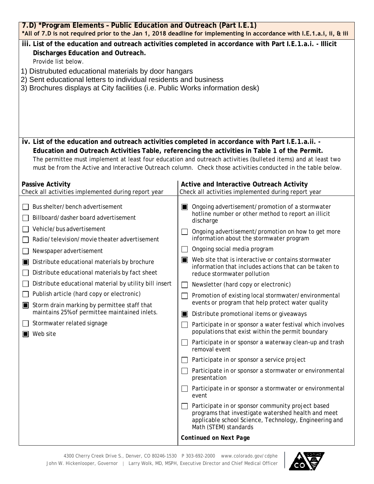| 7.D) *Program Elements - Public Education and Outreach (Part I.E.1)<br>*All of 7.D is not required prior to the Jan 1, 2018 deadline for implementing in accordance with I.E.1.a.i, ii, & iii             |                                                                                                                                                                                                                 |  |  |  |  |
|-----------------------------------------------------------------------------------------------------------------------------------------------------------------------------------------------------------|-----------------------------------------------------------------------------------------------------------------------------------------------------------------------------------------------------------------|--|--|--|--|
| iii. List of the education and outreach activities completed in accordance with Part I.E.1.a.i. - Illicit<br>Discharges Education and Outreach.<br>Provide list below.                                    |                                                                                                                                                                                                                 |  |  |  |  |
| 1) Distrubuted educational materials by door hangars<br>2) Sent educational letters to individual residents and business<br>3) Brochures displays at City facilities (i.e. Public Works information desk) |                                                                                                                                                                                                                 |  |  |  |  |
|                                                                                                                                                                                                           |                                                                                                                                                                                                                 |  |  |  |  |
|                                                                                                                                                                                                           |                                                                                                                                                                                                                 |  |  |  |  |
| iv. List of the education and outreach activities completed in accordance with Part I.E.1.a.ii. -                                                                                                         |                                                                                                                                                                                                                 |  |  |  |  |
|                                                                                                                                                                                                           | Education and Outreach Activities Table, referencing the activities in Table 1 of the Permit.<br>The permittee must implement at least four education and outreach activities (bulleted items) and at least two |  |  |  |  |
|                                                                                                                                                                                                           | must be from the Active and Interactive Outreach column. Check those activities conducted in the table below.                                                                                                   |  |  |  |  |
|                                                                                                                                                                                                           |                                                                                                                                                                                                                 |  |  |  |  |
| <b>Passive Activity</b>                                                                                                                                                                                   | Active and Interactive Outreach Activity                                                                                                                                                                        |  |  |  |  |
| Check all activities implemented during report year                                                                                                                                                       | Check all activities implemented during report year                                                                                                                                                             |  |  |  |  |
| Bus shelter/bench advertisement                                                                                                                                                                           | Ongoing advertisement/promotion of a stormwater<br>$\blacksquare$                                                                                                                                               |  |  |  |  |
| Billboard/dasher board advertisement                                                                                                                                                                      | hotline number or other method to report an illicit<br>discharge                                                                                                                                                |  |  |  |  |
| Vehicle/bus advertisement                                                                                                                                                                                 | Ongoing advertisement/promotion on how to get more                                                                                                                                                              |  |  |  |  |
| Radio/television/movie theater advertisement                                                                                                                                                              | information about the stormwater program                                                                                                                                                                        |  |  |  |  |
| Newspaper advertisement                                                                                                                                                                                   | Ongoing social media program                                                                                                                                                                                    |  |  |  |  |
| Distribute educational materials by brochure<br>Ш                                                                                                                                                         | Web site that is interactive or contains stormwater<br>$\blacksquare$<br>information that includes actions that can be taken to                                                                                 |  |  |  |  |
| Distribute educational materials by fact sheet                                                                                                                                                            | reduce stormwater pollution                                                                                                                                                                                     |  |  |  |  |
| Distribute educational material by utility bill insert                                                                                                                                                    | Newsletter (hard copy or electronic)                                                                                                                                                                            |  |  |  |  |
| Publish article (hard copy or electronic)                                                                                                                                                                 | Promotion of existing local stormwater/environmental                                                                                                                                                            |  |  |  |  |
| Storm drain marking by permittee staff that<br>maintains 25% of permittee maintained inlets.                                                                                                              | events or program that help protect water quality<br>Distribute promotional items or giveaways                                                                                                                  |  |  |  |  |
| Stormwater related signage                                                                                                                                                                                | Participate in or sponsor a water festival which involves                                                                                                                                                       |  |  |  |  |
| Web site                                                                                                                                                                                                  | populations that exist within the permit boundary                                                                                                                                                               |  |  |  |  |
|                                                                                                                                                                                                           | Participate in or sponsor a waterway clean-up and trash<br>removal event                                                                                                                                        |  |  |  |  |
|                                                                                                                                                                                                           | Participate in or sponsor a service project                                                                                                                                                                     |  |  |  |  |
|                                                                                                                                                                                                           | Participate in or sponsor a stormwater or environmental<br>presentation                                                                                                                                         |  |  |  |  |
|                                                                                                                                                                                                           | Participate in or sponsor a stormwater or environmental<br>event                                                                                                                                                |  |  |  |  |
|                                                                                                                                                                                                           | Participate in or sponsor community project based<br>programs that investigate watershed health and meet<br>applicable school Science, Technology, Engineering and<br>Math (STEM) standards                     |  |  |  |  |
|                                                                                                                                                                                                           | <b>Continued on Next Page</b>                                                                                                                                                                                   |  |  |  |  |

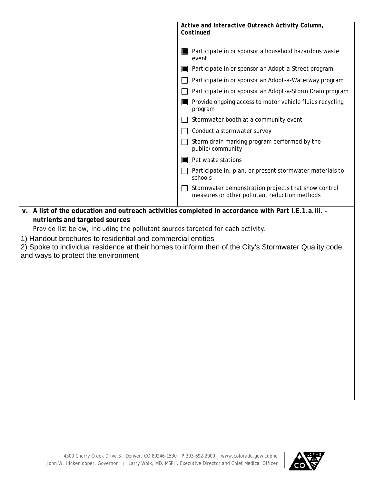| Active and Interactive Outreach Activity Column,<br>Continued                                                                                                                                                                                                                                                                  |                                                                                                      |  |  |
|--------------------------------------------------------------------------------------------------------------------------------------------------------------------------------------------------------------------------------------------------------------------------------------------------------------------------------|------------------------------------------------------------------------------------------------------|--|--|
|                                                                                                                                                                                                                                                                                                                                | Participate in or sponsor a household hazardous waste<br>event                                       |  |  |
|                                                                                                                                                                                                                                                                                                                                | Participate in or sponsor an Adopt-a-Street program                                                  |  |  |
|                                                                                                                                                                                                                                                                                                                                | Participate in or sponsor an Adopt-a-Waterway program                                                |  |  |
|                                                                                                                                                                                                                                                                                                                                | Participate in or sponsor an Adopt-a-Storm Drain program                                             |  |  |
|                                                                                                                                                                                                                                                                                                                                | Provide ongoing access to motor vehicle fluids recycling<br>IШ<br>program                            |  |  |
|                                                                                                                                                                                                                                                                                                                                | Stormwater booth at a community event                                                                |  |  |
|                                                                                                                                                                                                                                                                                                                                | Conduct a stormwater survey                                                                          |  |  |
|                                                                                                                                                                                                                                                                                                                                | Storm drain marking program performed by the<br>public/community                                     |  |  |
|                                                                                                                                                                                                                                                                                                                                | Pet waste stations<br>ШI                                                                             |  |  |
|                                                                                                                                                                                                                                                                                                                                | Participate in, plan, or present stormwater materials to<br>schools                                  |  |  |
|                                                                                                                                                                                                                                                                                                                                | Stormwater demonstration projects that show control<br>measures or other pollutant reduction methods |  |  |
| v. A list of the education and outreach activities completed in accordance with Part I.E.1.a.iii. -<br>nutrients and targeted sources<br>Provide list below, including the pollutant sources targeted for each activity.<br>1) Handout brochures to residential and commercial entities<br>and ways to protect the environment | 2) Spoke to individual residence at their homes to inform then of the City's Stormwater Quality code |  |  |

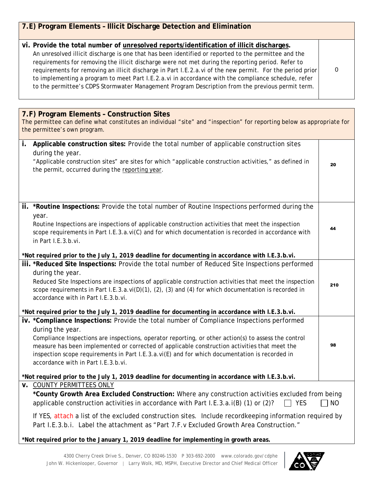| 7.E) Program Elements - Illicit Discharge Detection and Elimination                                                                                                                                                                                                                                                                                                                                                                                                                                                                                                                                                            |           |
|--------------------------------------------------------------------------------------------------------------------------------------------------------------------------------------------------------------------------------------------------------------------------------------------------------------------------------------------------------------------------------------------------------------------------------------------------------------------------------------------------------------------------------------------------------------------------------------------------------------------------------|-----------|
| vi. Provide the total number of unresolved reports/identification of illicit discharges.<br>An unresolved illicit discharge is one that has been identified or reported to the permittee and the<br>requirements for removing the illicit discharge were not met during the reporting period. Refer to<br>requirements for removing an illicit discharge in Part I.E.2.a.vi of the new permit. For the period prior<br>to implementing a program to meet Part I.E.2.a.vi in accordance with the compliance schedule, refer<br>to the permittee's CDPS Stormwater Management Program Description from the previous permit term. | 0         |
|                                                                                                                                                                                                                                                                                                                                                                                                                                                                                                                                                                                                                                |           |
| 7.F) Program Elements - Construction Sites<br>The permittee can define what constitutes an individual "site" and "inspection" for reporting below as appropriate for<br>the permittee's own program.                                                                                                                                                                                                                                                                                                                                                                                                                           |           |
| Applicable construction sites: Provide the total number of applicable construction sites<br>i.<br>during the year.<br>"Applicable construction sites" are sites for which "applicable construction activities," as defined in<br>the permit, occurred during the reporting year.                                                                                                                                                                                                                                                                                                                                               | 20        |
| ii. *Routine Inspections: Provide the total number of Routine Inspections performed during the<br>year.<br>Routine Inspections are inspections of applicable construction activities that meet the inspection<br>scope requirements in Part I.E.3.a.vi(C) and for which documentation is recorded in accordance with<br>in Part I.E.3.b.vi.                                                                                                                                                                                                                                                                                    | 44        |
| *Not required prior to the July 1, 2019 deadline for documenting in accordance with I.E.3.b.vi.<br>iii. *Reduced Site Inspections: Provide the total number of Reduced Site Inspections performed                                                                                                                                                                                                                                                                                                                                                                                                                              |           |
| during the year.<br>Reduced Site Inspections are inspections of applicable construction activities that meet the inspection<br>scope requirements in Part I.E.3.a.vi(D)(1), (2), (3) and (4) for which documentation is recorded in<br>accordance with in Part I.E.3.b.vi.                                                                                                                                                                                                                                                                                                                                                     | 210       |
| *Not required prior to the July 1, 2019 deadline for documenting in accordance with I.E.3.b.vi.                                                                                                                                                                                                                                                                                                                                                                                                                                                                                                                                |           |
| iv. *Compliance Inspections: Provide the total number of Compliance Inspections performed<br>during the year.<br>Compliance Inspections are inspections, operator reporting, or other action(s) to assess the control<br>measure has been implemented or corrected of applicable construction activities that meet the<br>inspection scope requirements in Part I.E.3.a.vi(E) and for which documentation is recorded in<br>accordance with in Part I.E.3.b.vi.                                                                                                                                                                | 98        |
| *Not required prior to the July 1, 2019 deadline for documenting in accordance with I.E.3.b.vi.                                                                                                                                                                                                                                                                                                                                                                                                                                                                                                                                |           |
| <b>v. COUNTY PERMITTEES ONLY</b><br>*County Growth Area Excluded Construction: Where any construction activities excluded from being<br>applicable construction activities in accordance with Part I.E.3.a.i(B) (1) or (2)?<br>$\Box$ YES<br>If YES, attach a list of the excluded construction sites. Include recordkeeping information required by<br>Part I.E.3.b.i. Label the attachment as "Part 7.F.v Excluded Growth Area Construction."                                                                                                                                                                                | <b>NO</b> |

**\*Not required prior to the January 1, 2019 deadline for implementing in growth areas.**